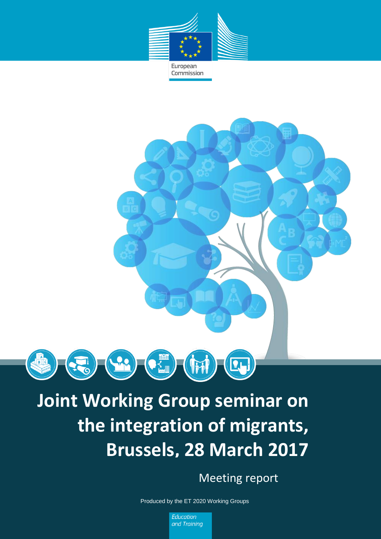

Commission



# **Joint Working Group seminar on the integration of migrants, Brussels, 28 March 2017**

Meeting report

*1* Produced by the ET 2020 Working Groups

Education and Training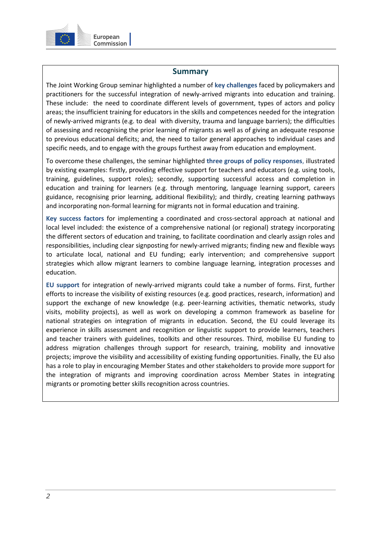

### **Summary**

The Joint Working Group seminar highlighted a number of **key challenges** faced by policymakers and practitioners for the successful integration of newly-arrived migrants into education and training. These include: the need to coordinate different levels of government, types of actors and policy areas; the insufficient training for educators in the skills and competences needed for the integration of newly-arrived migrants (e.g. to deal with diversity, trauma and language barriers); the difficulties of assessing and recognising the prior learning of migrants as well as of giving an adequate response to previous educational deficits; and, the need to tailor general approaches to individual cases and specific needs, and to engage with the groups furthest away from education and employment.

To overcome these challenges, the seminar highlighted **three groups of policy responses**, illustrated by existing examples: firstly, providing effective support for teachers and educators (e.g. using tools, training, guidelines, support roles); secondly, supporting successful access and completion in education and training for learners (e.g. through mentoring, language learning support, careers guidance, recognising prior learning, additional flexibility); and thirdly, creating learning pathways and incorporating non-formal learning for migrants not in formal education and training.

**Key success factors** for implementing a coordinated and cross-sectoral approach at national and local level included: the existence of a comprehensive national (or regional) strategy incorporating the different sectors of education and training, to facilitate coordination and clearly assign roles and responsibilities, including clear signposting for newly-arrived migrants; finding new and flexible ways to articulate local, national and EU funding; early intervention; and comprehensive support strategies which allow migrant learners to combine language learning, integration processes and education.

**EU support** for integration of newly-arrived migrants could take a number of forms. First, further efforts to increase the visibility of existing resources (e.g. good practices, research, information) and support the exchange of new knowledge (e.g. peer-learning activities, thematic networks, study visits, mobility projects), as well as work on developing a common framework as baseline for national strategies on integration of migrants in education. Second, the EU could leverage its experience in skills assessment and recognition or linguistic support to provide learners, teachers and teacher trainers with guidelines, toolkits and other resources. Third, mobilise EU funding to address migration challenges through support for research, training, mobility and innovative projects; improve the visibility and accessibility of existing funding opportunities. Finally, the EU also has a role to play in encouraging Member States and other stakeholders to provide more support for the integration of migrants and improving coordination across Member States in integrating migrants or promoting better skills recognition across countries.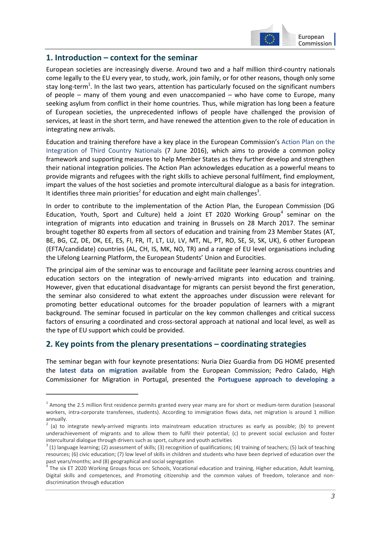

## **1. Introduction – context for the seminar**

European societies are increasingly diverse. Around two and a half million third-country nationals come legally to the EU every year, to study, work, join family, or for other reasons, though only some stay long-term<sup>1</sup>. In the last two years, attention has particularly focused on the significant numbers of people – many of them young and even unaccompanied – who have come to Europe, many seeking asylum from conflict in their home countries. Thus, while migration has long been a feature of European societies, the unprecedented inflows of people have challenged the provision of services, at least in the short term, and have renewed the attention given to the role of education in integrating new arrivals.

Education and training therefore have a key place in the European Commission's [Action Plan on the](https://ec.europa.eu/home-affairs/sites/homeaffairs/files/what-we-do/policies/european-agenda-migration/proposal-implementation-package/docs/20160607/communication_action_plan_integration_third-country_nationals_en.pdf)  [Integration of Third Country Nationals](https://ec.europa.eu/home-affairs/sites/homeaffairs/files/what-we-do/policies/european-agenda-migration/proposal-implementation-package/docs/20160607/communication_action_plan_integration_third-country_nationals_en.pdf) (7 June 2016), which aims to provide a common policy framework and supporting measures to help Member States as they further develop and strengthen their national integration policies. The Action Plan acknowledges education as a powerful means to provide migrants and refugees with the right skills to achieve personal fulfilment, find employment, impart the values of the host societies and promote intercultural dialogue as a basis for integration. It identifies three main priorities<sup>2</sup> for education and eight main challenges<sup>3</sup>.

In order to contribute to the implementation of the Action Plan, the European Commission (DG Education, Youth, Sport and Culture) held a Joint ET 2020 Working Group<sup>4</sup> seminar on the integration of migrants into education and training in Brussels on 28 March 2017. The seminar brought together 80 experts from all sectors of education and training from 23 Member States (AT, BE, BG, CZ, DE, DK, EE, ES, FI, FR, IT, LT, LU, LV, MT, NL, PT, RO, SE, SI, SK, UK), 6 other European (EFTA/candidate) countries (AL, CH, IS, MK, NO, TR) and a range of EU level organisations including the Lifelong Learning Platform, the European Students' Union and Eurocities.

The principal aim of the seminar was to encourage and facilitate peer learning across countries and education sectors on the integration of newly-arrived migrants into education and training. However, given that educational disadvantage for migrants can persist beyond the first generation, the seminar also considered to what extent the approaches under discussion were relevant for promoting better educational outcomes for the broader population of learners with a migrant background. The seminar focused in particular on the key common challenges and critical success factors of ensuring a coordinated and cross-sectoral approach at national and local level, as well as the type of EU support which could be provided.

## **2. Key points from the plenary presentations – coordinating strategies**

-

The seminar began with four keynote presentations: Nuria Diez Guardia from DG HOME presented the **latest data on migration** available from the European Commission; Pedro Calado, High Commissioner for Migration in Portugal, presented the **Portuguese approach to developing a** 

 $1$  Among the 2.5 million first residence permits granted every year many are for short or medium-term duration (seasonal workers, intra-corporate transferees, students). According to immigration flows data, net migration is around 1 million annually.

 $2$  (a) to integrate newly-arrived migrants into mainstream education structures as early as possible; (b) to prevent underachievement of migrants and to allow them to fulfil their potential; (c) to prevent social exclusion and foster intercultural dialogue through drivers such as sport, culture and youth activities

 $3$  (1) language learning; (2) assessment of skills; (3) recognition of qualifications; (4) training of teachers; (5) lack of teaching resources; (6) civic education; (7) low level of skills in children and students who have been deprived of education over the past years/months; and (8) geographical and social segregation

<sup>&</sup>lt;sup>4</sup> The six ET 2020 Working Groups focus on: Schools, Vocational education and training, Higher education, Adult learning, Digital skills and competences, and Promoting citizenship and the common values of freedom, tolerance and nondiscrimination through education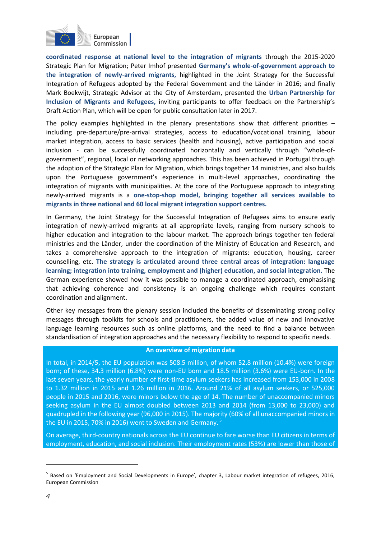

**coordinated response at national level to the integration of migrants** through the 2015-2020 Strategic Plan for Migration; Peter Imhof presented **Germany's whole-of-government approach to the integration of newly-arrived migrants,** highlighted in the Joint Strategy for the Successful Integration of Refugees adopted by the Federal Government and the Länder in 2016; and finally Mark Boekwijt, Strategic Advisor at the City of Amsterdam, presented the **Urban Partnership for Inclusion of Migrants and Refugees,** inviting participants to offer feedback on the Partnership's Draft Action Plan, which will be open for public consultation later in 2017.

The policy examples highlighted in the plenary presentations show that different priorities  $$ including pre-departure/pre-arrival strategies, access to education/vocational training, labour market integration, access to basic services (health and housing), active participation and social inclusion - can be successfully coordinated horizontally and vertically through "whole-ofgovernment", regional, local or networking approaches. This has been achieved in Portugal through the adoption of the Strategic Plan for Migration, which brings together 14 ministries, and also builds upon the Portuguese government's experience in multi-level approaches, coordinating the integration of migrants with municipalities. At the core of the Portuguese approach to integrating newly-arrived migrants is a **one-stop-shop model, bringing together all services available to migrants in three national and 60 local migrant integration support centres.**

In Germany, the Joint Strategy for the Successful Integration of Refugees aims to ensure early integration of newly-arrived migrants at all appropriate levels, ranging from nursery schools to higher education and integration to the labour market. The approach brings together ten federal ministries and the Länder, under the coordination of the Ministry of Education and Research, and takes a comprehensive approach to the integration of migrants: education, housing, career counselling, etc. **The strategy is articulated around three central areas of integration: language learning; integration into training, employment and (higher) education, and social integration.** The German experience showed how it was possible to manage a coordinated approach, emphasising that achieving coherence and consistency is an ongoing challenge which requires constant coordination and alignment.

Other key messages from the plenary session included the benefits of disseminating strong policy messages through toolkits for schools and practitioners, the added value of new and innovative language learning resources such as online platforms, and the need to find a balance between standardisation of integration approaches and the necessary flexibility to respond to specific needs.

#### **An overview of migration data**

In total, in 2014/5, the EU population was 508.5 million, of whom 52.8 million (10.4%) were foreign born; of these, 34.3 million (6.8%) were non-EU born and 18.5 million (3.6%) were EU-born. In the last seven years, the yearly number of first-time asylum seekers has increased from 153,000 in 2008 to 1.32 million in 2015 and 1.26 million in 2016. Around 21% of all asylum seekers, or 525,000 people in 2015 and 2016, were minors below the age of 14. The number of unaccompanied minors seeking asylum in the EU almost doubled between 2013 and 2014 (from 13,000 to 23,000) and quadrupled in the following year (96,000 in 2015). The majority (60% of all unaccompanied minors in the EU in 2015, 70% in 2016) went to Sweden and Germany. $5$ 

On average, third-country nationals across the EU continue to fare worse than EU citizens in terms of employment, education, and social inclusion. Their employment rates (53%) are lower than those of

<sup>&</sup>lt;sup>5</sup> Based on 'Employment and Social Developments in Europe', chapter 3, Labour market integration of refugees, 2016, [European Commission](file:///C:/Users/waterma/AppData/Local/Microsoft/Windows/Temporary%20Internet%20Files/Content.Outlook/C4HR6JZB/Social%20Europe,%20chapter%203,%20Labour%20market%20integration%20of%20refugees,%202015,%20European%20Commission)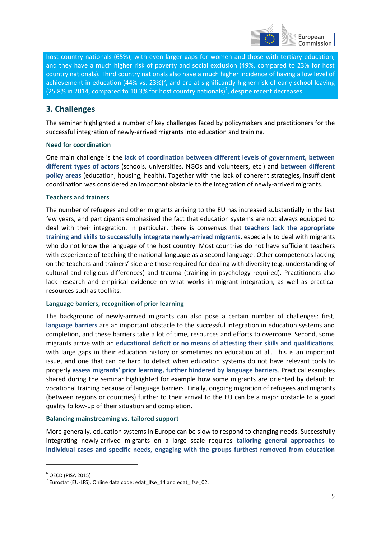

host country nationals (65%), with even larger gaps for women and those with tertiary education, and they have a much higher risk of poverty and social exclusion (49%, compared to 23% for host country nationals). Third country nationals also have a much higher incidence of having a low level of achievement in education (44% vs. 23%)<sup>6</sup>, and are at significantly higher risk of early school leaving (25.8% in 2014, compared to 10.3% for host country nationals)<sup>7</sup>, despite recent decreases.

## **3. Challenges**

The seminar highlighted a number of key challenges faced by policymakers and practitioners for the successful integration of newly-arrived migrants into education and training.

#### **Need for coordination**

One main challenge is the **lack of coordination between different levels of government, between different types of actors** (schools, universities, NGOs and volunteers, etc.) and **between different policy areas** (education, housing, health). Together with the lack of coherent strategies, insufficient coordination was considered an important obstacle to the integration of newly-arrived migrants.

#### **Teachers and trainers**

The number of refugees and other migrants arriving to the EU has increased substantially in the last few years, and participants emphasised the fact that education systems are not always equipped to deal with their integration. In particular, there is consensus that **teachers lack the appropriate training and skills to successfully integrate newly-arrived migrants**, especially to deal with migrants who do not know the language of the host country. Most countries do not have sufficient teachers with experience of teaching the national language as a second language. Other competences lacking on the teachers and trainers' side are those required for dealing with diversity (e.g. understanding of cultural and religious differences) and trauma (training in psychology required). Practitioners also lack research and empirical evidence on what works in migrant integration, as well as practical resources such as toolkits.

#### **Language barriers, recognition of prior learning**

The background of newly-arrived migrants can also pose a certain number of challenges: first, **language barriers** are an important obstacle to the successful integration in education systems and completion, and these barriers take a lot of time, resources and efforts to overcome. Second, some migrants arrive with an **educational deficit or no means of attesting their skills and qualifications**, with large gaps in their education history or sometimes no education at all. This is an important issue, and one that can be hard to detect when education systems do not have relevant tools to properly **assess migrants' prior learning, further hindered by language barriers**. Practical examples shared during the seminar highlighted for example how some migrants are oriented by default to vocational training because of language barriers. Finally, ongoing migration of refugees and migrants (between regions or countries) further to their arrival to the EU can be a major obstacle to a good quality follow-up of their situation and completion.

#### **Balancing mainstreaming vs. tailored support**

More generally, education systems in Europe can be slow to respond to changing needs. Successfully integrating newly-arrived migrants on a large scale requires **tailoring general approaches to individual cases and specific needs, engaging with the groups furthest removed from education**

 $^6$  OECD (PISA 2015)

 $^7$  Eurostat (EU-LFS). Online data code[: edat\\_lfse\\_14](http://appsso.eurostat.ec.europa.eu/nui/show.do?query=BOOKMARK_DS-108805_QID_-5E8A9D73_UID_-3F171EB0&layout=SEX,L,X,0;GEO,L,Y,0;WSTATUS,L,Z,0;UNIT,L,Z,1;AGE,L,Z,2;TIME,C,Z,3;INDICATORS,C,Z,4;&zSelection=DS-108805UNIT,PC;DS-108805INDICATORS,OBS_FLAG;DS-108805TIME,2012;DS-108805AGE,Y18-24;DS-108805WSTATUS,POP;&rankName1=WSTATUS_1_2_-1_2&rankName2=UNIT_1_2_-1_2&rankName3=AGE_1_2_-1_2&rankName4=INDICATORS_1_2_-1_2&rankName5=TIME_1_0_1_0&rankName6=SEX_1_2_0_0&rankName7=GEO_1_2_0_1&rStp=&cStp=&rDCh=&cDCh=&rDM=true&cDM=true&footnes=false&empty=false&wai=false&time_mode=NONE&time_most_recent=false&lang=EN&cfo=%23%23%23%2C%23%23%23.%23%23%23) an[d edat\\_lfse\\_02.](http://appsso.eurostat.ec.europa.eu/nui/show.do?query=BOOKMARK_DS-383444_QID_13EA1C8D_UID_-3F171EB0&layout=C_BIRTH,L,X,0;GEO,L,Y,0;SEX,L,Z,0;WSTATUS,L,Z,1;TIME,C,Z,2;AGE,L,Z,3;UNIT,L,Z,4;INDICATORS,C,Z,5;&zSelection=DS-383444TIME,2015;DS-383444SEX,T;DS-383444INDICATORS,OBS_FLAG;DS-383444UNIT,PC;DS-383444WSTATUS,POP;DS-383444AGE,Y18-24;&rankName1=WSTATUS_1_2_-1_2&rankName2=UNIT_1_2_-1_2&rankName3=AGE_1_2_-1_2&rankName4=INDICATORS_1_2_-1_2&rankName5=SEX_1_2_-1_2&rankName6=TIME_1_0_0_0&rankName7=C-BIRTH_1_2_0_0&rankName8=GEO_1_2_0_1&rStp=&cStp=&rDCh=&cDCh=&rDM=true&cDM=true&footnes=false&empty=false&wai=false&time_mode=NONE&time_most_recent=false&lang=EN&cfo=%23%23%23%2C%23%23%23.%23%23%23)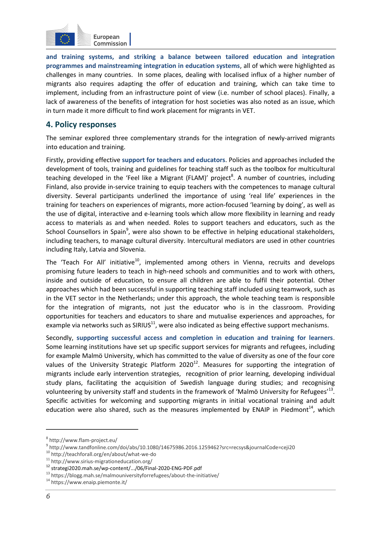

**and training systems, and striking a balance between tailored education and integration programmes and mainstreaming integration in education systems**, all of which were highlighted as challenges in many countries. In some places, dealing with localised influx of a higher number of migrants also requires adapting the offer of education and training, which can take time to implement, including from an infrastructure point of view (i.e. number of school places). Finally, a lack of awareness of the benefits of integration for host societies was also noted as an issue, which in turn made it more difficult to find work placement for migrants in VET.

## **4. Policy responses**

The seminar explored three complementary strands for the integration of newly-arrived migrants into education and training.

Firstly, providing effective **support for teachers and educators**. Policies and approaches included the development of tools, training and guidelines for teaching staff such as the toolbox for multicultural teaching developed in the 'Feel like a Migrant (FLAM)' project<sup>8</sup>. A number of countries, including Finland, also provide in-service training to equip teachers with the competences to manage cultural diversity. Several participants underlined the importance of using 'real life' experiences in the training for teachers on experiences of migrants, more action-focused 'learning by doing', as well as the use of digital, interactive and e-learning tools which allow more flexibility in learning and ready access to materials as and when needed. Roles to support teachers and educators, such as the School Counsellors in Spain<sup>9</sup>, were also shown to be effective in helping educational stakeholders, including teachers, to manage cultural diversity. Intercultural mediators are used in other countries including Italy, Latvia and Slovenia.

The 'Teach For All' initiative<sup>10</sup>, implemented among others in Vienna, recruits and develops promising future leaders to teach in high-need schools and communities and to work with others, inside and outside of education, to ensure all children are able to fulfil their potential. Other approaches which had been successful in supporting teaching staff included using teamwork, such as in the VET sector in the Netherlands; under this approach, the whole teaching team is responsible for the integration of migrants, not just the educator who is in the classroom. Providing opportunities for teachers and educators to share and mutualise experiences and approaches, for example via networks such as  $SIRIUS<sup>11</sup>$ , were also indicated as being effective support mechanisms.

Secondly, **supporting successful access and completion in education and training for learners**. Some learning institutions have set up specific support services for migrants and refugees, including for example Malmö University, which has committed to the value of diversity as one of the four core values of the University Strategic Platform  $2020^{12}$ . Measures for supporting the integration of migrants include early intervention strategies, recognition of prior learning, developing individual study plans, facilitating the acquisition of Swedish language during studies; and recognising volunteering by university staff and students in the framework of 'Malmö University for Refugees'<sup>13</sup>. Specific activities for welcoming and supporting migrants in initial vocational training and adult education were also shared, such as the measures implemented by ENAIP in Piedmont<sup>14</sup>, which

<sup>8</sup> http://www.flam-project.eu/

<sup>9</sup> http://www.tandfonline.com/doi/abs/10.1080/14675986.2016.1259462?src=recsys&journalCode=ceji20

<sup>10</sup> http://teachforall.org/en/about/what-we-do

 $11$  http://www.sirius-migrationeducation.org/

<sup>12</sup> strategi2020.mah.se/wp-content/.../06/Final-2020-ENG-PDF.pdf

<sup>13</sup> https://blogg.mah.se/malmouniversityforrefugees/about-the-initiative/

<sup>14</sup> https://www.enaip.piemonte.it/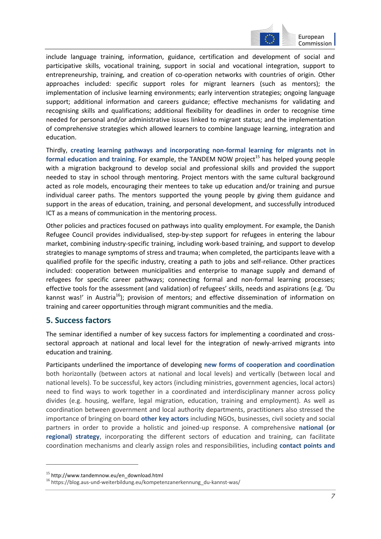

Commission |

include language training, information, guidance, certification and development of social and participative skills, vocational training, support in social and vocational integration, support to entrepreneurship, training, and creation of co-operation networks with countries of origin. Other approaches included: specific support roles for migrant learners (such as mentors); the implementation of inclusive learning environments; early intervention strategies; ongoing language support; additional information and careers guidance; effective mechanisms for validating and recognising skills and qualifications; additional flexibility for deadlines in order to recognise time needed for personal and/or administrative issues linked to migrant status; and the implementation of comprehensive strategies which allowed learners to combine language learning, integration and education.

Thirdly, **creating learning pathways and incorporating non-formal learning for migrants not in formal education and training.** For example, the TANDEM NOW project<sup>15</sup> has helped young people with a migration background to develop social and professional skills and provided the support needed to stay in school through mentoring. Project mentors with the same cultural background acted as role models, encouraging their mentees to take up education and/or training and pursue individual career paths. The mentors supported the young people by giving them guidance and support in the areas of education, training, and personal development, and successfully introduced ICT as a means of communication in the mentoring process.

Other policies and practices focused on pathways into quality employment. For example, the Danish Refugee Council provides individualised, step-by-step support for refugees in entering the labour market, combining industry-specific training, including work-based training, and support to develop strategies to manage symptoms of stress and trauma; when completed, the participants leave with a qualified profile for the specific industry, creating a path to jobs and self-reliance. Other practices included: cooperation between municipalities and enterprise to manage supply and demand of refugees for specific career pathways; connecting formal and non-formal learning processes; effective tools for the assessment (and validation) of refugees' skills, needs and aspirations (e.g. 'Du kannst was!' in Austria<sup>16</sup>); provision of mentors; and effective dissemination of information on training and career opportunities through migrant communities and the media.

## **5. Success factors**

The seminar identified a number of key success factors for implementing a coordinated and crosssectoral approach at national and local level for the integration of newly-arrived migrants into education and training.

Participants underlined the importance of developing **new forms of cooperation and coordination** both horizontally (between actors at national and local levels) and vertically (between local and national levels). To be successful, key actors (including ministries, government agencies, local actors) need to find ways to work together in a coordinated and interdisciplinary manner across policy divides (e.g. housing, welfare, legal migration, education, training and employment). As well as coordination between government and local authority departments, practitioners also stressed the importance of bringing on board **other key actors** including NGOs, businesses, civil society and social partners in order to provide a holistic and joined-up response. A comprehensive **national (or regional) strategy**, incorporating the different sectors of education and training, can facilitate coordination mechanisms and clearly assign roles and responsibilities, including **contact points and** 

<sup>15</sup> http://www.tandemnow.eu/en\_download.html

<sup>16</sup> https://blog.aus-und-weiterbildung.eu/kompetenzanerkennung\_du-kannst-was/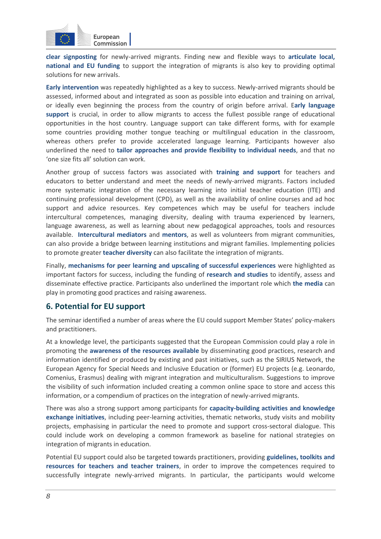

**clear signposting** for newly-arrived migrants. Finding new and flexible ways to **articulate local, national and EU funding** to support the integration of migrants is also key to providing optimal solutions for new arrivals.

**Early intervention** was repeatedly highlighted as a key to success. Newly-arrived migrants should be assessed, informed about and integrated as soon as possible into education and training on arrival, or ideally even beginning the process from the country of origin before arrival. E**arly language support** is crucial, in order to allow migrants to access the fullest possible range of educational opportunities in the host country. Language support can take different forms, with for example some countries providing mother tongue teaching or multilingual education in the classroom, whereas others prefer to provide accelerated language learning. Participants however also underlined the need to **tailor approaches and provide flexibility to individual needs**, and that no 'one size fits all' solution can work.

Another group of success factors was associated with **training and support** for teachers and educators to better understand and meet the needs of newly-arrived migrants. Factors included more systematic integration of the necessary learning into initial teacher education (ITE) and continuing professional development (CPD), as well as the availability of online courses and ad hoc support and advice resources. Key competences which may be useful for teachers include intercultural competences, managing diversity, dealing with trauma experienced by learners, language awareness, as well as learning about new pedagogical approaches, tools and resources available. **Intercultural mediators** and **mentors**, as well as volunteers from migrant communities, can also provide a bridge between learning institutions and migrant families. Implementing policies to promote greater **teacher diversity** can also facilitate the integration of migrants.

Finally, **mechanisms for peer learning and upscaling of successful experiences** were highlighted as important factors for success, including the funding of **research and studies** to identify, assess and disseminate effective practice. Participants also underlined the important role which **the media** can play in promoting good practices and raising awareness.

## **6. Potential for EU support**

The seminar identified a number of areas where the EU could support Member States' policy-makers and practitioners.

At a knowledge level, the participants suggested that the European Commission could play a role in promoting the **awareness of the resources available** by disseminating good practices, research and information identified or produced by existing and past initiatives, such as the SIRIUS Network, the European Agency for Special Needs and Inclusive Education or (former) EU projects (e.g. Leonardo, Comenius, Erasmus) dealing with migrant integration and multiculturalism. Suggestions to improve the visibility of such information included creating a common online space to store and access this information, or a compendium of practices on the integration of newly-arrived migrants.

There was also a strong support among participants for **capacity-building activities and knowledge exchange initiatives**, including peer-learning activities, thematic networks, study visits and mobility projects, emphasising in particular the need to promote and support cross-sectoral dialogue. This could include work on developing a common framework as baseline for national strategies on integration of migrants in education.

Potential EU support could also be targeted towards practitioners, providing **guidelines, toolkits and resources for teachers and teacher trainers**, in order to improve the competences required to successfully integrate newly-arrived migrants. In particular, the participants would welcome